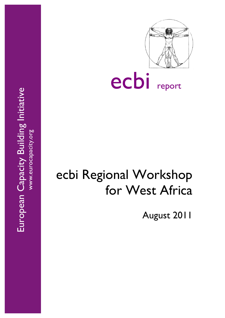European Capacity Building Initiative European Capacity Building Initiative www.eurocapacity.org



ecbi report

# ecbi Regional Workshop for West Africa

August 2011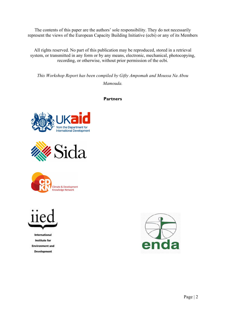The contents of this paper are the authors' sole responsibility. They do not necessarily represent the views of the European Capacity Building Initiative (ecbi) or any of its Members

All rights reserved. No part of this publication may be reproduced, stored in a retrieval system, or transmitted in any form or by any means, electronic, mechanical, photocopying, recording, or otherwise, without prior permission of the ecbi.

*This Workshop Report has been compiled by Gifty Ampomah and Moussa Na Abou Mamouda.*

**Partners**









**International** Institute for **Environment and Development** 

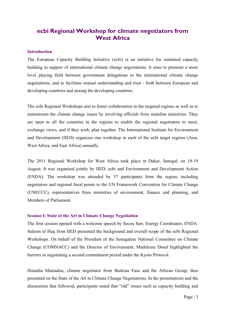## **ecbi Regional Workshop for climate negotiators from West Africa**

#### **Introduction**

The European Capacity Building Initiative (ecbi) is an initiative for sustained capacity building in support of international climate change negotiations. It aims to promote a more level playing field between government delegations to the international climate change negotiations, and to facilitate mutual understanding and trust - both between European and developing countries and among the developing countries.

The ecbi Regional Workshops aim to foster collaboration in the targeted regions as well as to mainstream the climate change issues by involving officials from mainline ministries. They are open to all the countries in the regions to enable the regional negotiators to meet, exchange views, and if they wish, plan together. The International Institute for Environment and Development (IIED) organizes one workshop in each of the ecbi target regions (Asia, West Africa, and East Africa) annually.

The 2011 Regional Workshop for West Africa took place in Dakar, Senegal, on 18-19 August. It was organised jointly by IIED, ecbi and Environment and Development Action (ENDA). The workshop was attended by 37 participants from the region, including negotiators and regional focal points to the UN Framework Convention for Climate Change (UNFCCC), representatives from ministries of environment, finance and planning, and Members of Parliament.

#### **Session I: State of the Art in Climate Change Negotiation**

The first session opened with a welcome speech by Secou Sarr, Energy Coordinator, ENDA. Saleem ul Huq from IIED presented the background and overall scope of the ecbi Regional Workshops. On behalf of the President of the Senegalese National Committee on Climate Change (COMNACC) and the Director of Environment, Madeleine Diouf highlighted the barriers in negotiating a second commitment period under the Kyoto Protocol.

Honadia Mamadou, climate negotiator from Burkina Faso and the African Group, then presented on the State of the Art in Climate Change Negotiations. In the presentations and the discussions that followed, participants noted that "old" issues such as capacity building and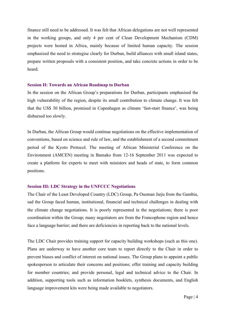finance still need to be addressed. It was felt that African delegations are not well represented in the working groups, and only 4 per cent of Clean Development Mechanism (CDM) projects were hosted in Africa, mainly because of limited human capacity. The session emphasized the need to strategise clearly for Durban, build alliances with small island states, prepare written proposals with a consistent position, and take concrete actions in order to be heard.

#### **Session II: Towards an African Roadmap to Durban**

In the session on the African Group's preparations for Durban, participants emphasised the high vulnerability of the region, despite its small contribution to climate change. It was felt that the US\$ 30 billion, promised in Copenhagen as climate 'fast-start finance', was being disbursed too slowly.

In Durban, the African Group would continue negotiations on the effective implementation of conventions, based on science and rule of law, and the establishment of a second commitment period of the Kyoto Protocol. The meeting of African Ministerial Conference on the Environment (AMCEN) meeting in Bamako from 12-16 September 2011 was expected to create a platform for experts to meet with ministers and heads of state, to form common positions.

#### **Session III: LDC Strategy in the UNFCCC Negotiations**

The Chair of the Least Developed Country (LDC) Group, Pa Ousman Jarju from the Gambia, sad the Group faced human, institutional, financial and technical challenges in dealing with the climate change negotiations. It is poorly represented in the negotiations; there is poor coordination within the Group; many negotiators are from the Francophone region and hence face a language barrier; and there are deficiencies in reporting back to the national levels.

The LDC Chair provides training support for capacity building workshops (such as this one). Plans are underway to have another core team to report directly to the Chair in order to prevent biases and conflict of interest on national issues. The Group plans to appoint a public spokesperson to articulate their concerns and positions; offer training and capacity building for member countries; and provide personal, legal and technical advice to the Chair. In addition, supporting tools such as information booklets, synthesis documents, and English language improvement kits were being made available to negotiators.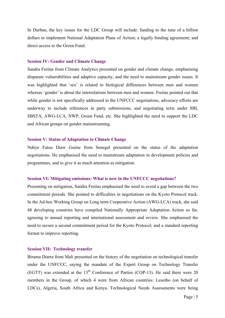In Durban, the key issues for the LDC Group will include: funding to the tune of a billion dollars to implement National Adaptation Plans of Action; a legally binding agreement; and direct access to the Green Fund.

#### **Session IV: Gender and Climate Change**

Sandra Freitas from Climate Analytics presented on gender and climate change, emphasising disparate vulnerabilities and adaptive capacity, and the need to mainstream gender issues. It was highlighted that 'sex' is related to biological differences between men and women whereas 'gender' is about the interrelations between men and women. Freitas pointed out that while gender is not specifically addressed in the UNFCCC negotiations, advocacy efforts are underway to include references in party submissions, and negotiating texts under SBI, SBSTA, AWG-LCA, NWP, Green Fund, etc. She highlighted the need to support the LDC and African groups on gender mainstreaming.

#### **Session V: Status of Adaptation to Climate Change**

Ndéye Fatou Diaw Guéne from Senegal presented on the status of the adaptation negotiations. He emphasised the need to mainstream adaptation in development policies and programmes, and to give it as much attention as mitigation.

#### **Session VI: Mitigating emissions: What is new in the UNFCCC negotiations?**

Presenting on mitigation, Sandra Freitas emphasised the need to avoid a gap between the two commitment periods. She pointed to difficulties in negotiations on the Kyoto Protocol track. In the Ad-hoc Working Group on Long term Cooperative Action (AWG-LCA) track, she said 48 developing countries have compiled Nationally Appropriate Adaptation Action so far, agreeing to annual reporting and international assessment and review. She emphasised the need to secure a second commitment period for the Kyoto Protocol; and a standard reporting format to improve reporting.

#### **Session VII: Technology transfer**

Birama Diarra from Mali presented on the history of the negotiation on technological transfer under the UNFCCC, saying the mandate of the Expert Group on Technology Transfer (EGTT) was extended at the  $13<sup>th</sup>$  Conference of Parties (COP-13). He said there were 20 members in the Group, of which 4 were from African countries: Lesotho (on behalf of LDCs), Algeria, South Africa and Kenya. Technological Needs Assessments were being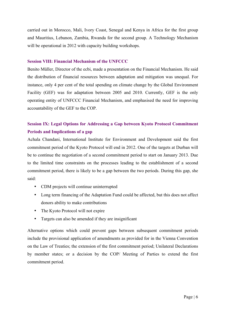carried out in Morocco, Mali, Ivory Coast, Senegal and Kenya in Africa for the first group and Mauritius, Lebanon, Zambia, Rwanda for the second group. A Technology Mechanism will be operational in 2012 with capacity building workshops.

#### **Session VIII: Financial Mechanism of the UNFCCC**

Benito Müller, Director of the ecbi, made a presentation on the Financial Mechanism. He said the distribution of financial resources between adaptation and mitigation was unequal. For instance, only 4 per cent of the total spending on climate change by the Global Environment Facility (GEF) was for adaptation between 2005 and 2010. Currently, GEF is the only operating entity of UNFCCC Financial Mechanism, and emphasised the need for improving accountability of the GEF to the COP.

## **Session IX: Legal Options for Addressing a Gap between Kyoto Protocol Commitment Periods and Implications of a gap**

Achala Chandani, International Institute for Environment and Development said the first commitment period of the Kyoto Protocol will end in 2012. One of the targets at Durban will be to continue the negotiation of a second commitment period to start on January 2013. Due to the limited time constraints on the processes leading to the establishment of a second commitment period, there is likely to be a gap between the two periods. During this gap, she said:

- CDM projects will continue uninterrupted
- Long term financing of the Adaptation Fund could be affected, but this does not affect donors ability to make contributions
- The Kyoto Protocol will not expire
- Targets can also be amended if they are insignificant

Alternative options which could prevent gaps between subsequent commitment periods include the provisional application of amendments as provided for in the Vienna Convention on the Law of Treaties; the extension of the first commitment period; Unilateral Declarations by member states; or a decision by the COP/ Meeting of Parties to extend the first commitment period.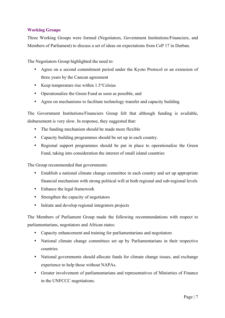### **Working Groups**

Three Working Groups were formed (Negotiators, Government Institutions/Financiers, and Members of Parliament) to discuss a set of ideas on expectations from CoP 17 in Durban.

The Negotiators Group highlighted the need to:

- Agree on a second commitment period under the Kyoto Protocol or an extension of three years by the Cancun agreement
- Keep temperature rise within 1.5°Celsius
- Operationalize the Green Fund as soon as possible, and
- Agree on mechanisms to facilitate technology transfer and capacity building

The Government Institutions/Financiers Group felt that although funding is available, disbursement is very slow. In response, they suggested that:

- The funding mechanism should be made more flexible
- Capacity building programmes should be set up in each country.
- Regional support programmes should be put in place to operationalize the Green Fund, taking into consideration the interest of small island countries

The Group recommended that governments:

- Establish a national climate change committee in each country and set up appropriate financial mechanism with strong political will at both regional and sub-regional levels
- Enhance the legal framework
- Strengthen the capacity of negotiators
- Initiate and develop regional integrators projects

The Members of Parliament Group made the following recommendations with respect to parliamentarians, negotiators and African states:

- Capacity enhancement and training for parliamentarians and negotiators
- National climate change committees set up by Parliamentarians in their respective countries
- National governments should allocate funds for climate change issues, and exchange experience to help those without NAPAs.
- Greater involvement of parliamentarians and representatives of Ministries of Finance in the UNFCCC negotiations.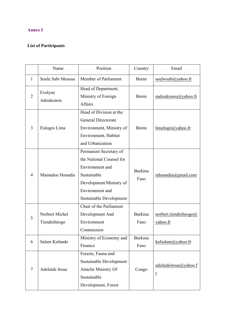## **Annex I**

# **List of Participants**

|                | Name                           | Position                                                                                                                                                      | Country                | Email                                   |
|----------------|--------------------------------|---------------------------------------------------------------------------------------------------------------------------------------------------------------|------------------------|-----------------------------------------|
| 1              | Soule Sabi Moussa              | Member of Parliament                                                                                                                                          | Benin                  | soulwsab@yahoo.fr                       |
| $\overline{2}$ | Evelyne<br>Adoukonou           | Head of Department,<br>Ministry of Foreign<br><b>Affairs</b>                                                                                                  | Benin                  | eadoukonou@yahoo.fr                     |
| 3              | Euloges Lima                   | Head of Division at the<br>General Directorate<br>Environment, Ministry of<br>Environment, Habitat<br>and Urbanization                                        | Benin                  | $line 0$ imeloge@yahoo.fr               |
| 4              | Mamadou Honadia                | Permanent Secretary of<br>the National Counsel for<br>Environment and<br>Sustainable<br>Development/Ministry of<br>Environment and<br>Sustainable Development | <b>Burkina</b><br>Faso | mhonadia@gmail.com                      |
| 5              | Norbert Michel<br>Tiendrebéogo | Chair of the Parliament<br>Development And<br>Environment<br>Commission                                                                                       | <b>Burkina</b><br>Faso | norbert.tiendrebeogo $@$<br>yahoo.fr    |
| 6              | Salam Kafando                  | Ministry of Economy and<br>Finance                                                                                                                            | <b>Burkina</b><br>Faso | kafsalam@yahoo.fr                       |
| 7              | Adelaide Itoua                 | Forests, Fauna and<br>Sustainable Development<br>Attaché Ministry Of<br>Sustainable<br>Development, Forest                                                    | Congo                  | adelaideitoua@yahoo.f<br>$\overline{1}$ |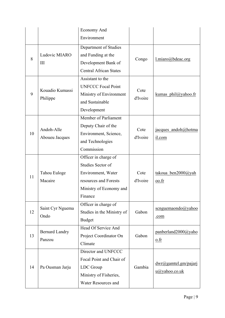|    |                                 | <b>Economy And</b>            |                  |                       |
|----|---------------------------------|-------------------------------|------------------|-----------------------|
|    |                                 | Environment                   |                  |                       |
|    |                                 | Department of Studies         |                  |                       |
| 8  | Ludovic MIARO<br>III            | and Funding at the            | Congo            | $l$ .miaro@bdeac.org  |
|    |                                 | Development Bank of           |                  |                       |
|    |                                 | <b>Central African States</b> |                  |                       |
|    |                                 | Assistant to the              |                  |                       |
|    | Kouadio Kumassi                 | <b>UNFCCC Focal Point</b>     | Cote<br>d'Ivoire | kumas $phil@yahoo.fr$ |
| 9  |                                 | Ministry of Environment       |                  |                       |
|    | Philippe                        | and Sustainable               |                  |                       |
|    |                                 | Development                   |                  |                       |
|    |                                 | Member of Parliament          |                  |                       |
|    |                                 | Deputy Chair of the           |                  | jacques_andoh@hotma   |
| 10 | Andoh-Alle<br>Aboueu Jacques    | Environment, Science,         | Cote<br>d'Ivoire |                       |
|    |                                 | and Technologies              |                  | il.com                |
|    |                                 | Commission                    |                  |                       |
|    |                                 | Officer in charge of          |                  |                       |
|    |                                 | Studies Sector of             |                  |                       |
| 11 | Tahou Euloge                    | Environment, Water            | Cote             | takoua ben2000@yah    |
|    | Macaire                         | resources and Forests         | d'Ivoire         | oo.fr                 |
|    |                                 | Ministry of Economy and       |                  |                       |
|    |                                 | Finance                       |                  |                       |
|    | Saint Cyr Nguema<br>Ondo        | Officer in charge of          |                  | scnguemaondo@yahoo    |
| 12 |                                 | Studies in the Ministry of    | Gabon            |                       |
|    |                                 | <b>Budget</b>                 |                  | .com                  |
| 13 | <b>Bernard Landry</b><br>Panzou | Head Of Service And           |                  | panberland2000@yaho   |
|    |                                 | Project Coordinator On        | Gabon            | $\underline{0}$ .fr   |
|    |                                 | Climate                       |                  |                       |
| 14 | Pa Ousman Jarju                 | Director and UNFCCC           | Gambia           |                       |
|    |                                 | Focal Point and Chair of      |                  | dwr@gamtelgm/pajar    |
|    |                                 | LDC Group                     |                  | $u(a)$ yahoo.co.uk    |
|    |                                 | Ministry of Fisheries,        |                  |                       |
|    |                                 | <b>Water Resources and</b>    |                  |                       |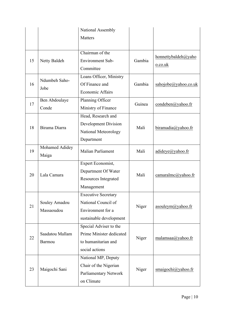|                       | National Assembly           |                          |                        |
|-----------------------|-----------------------------|--------------------------|------------------------|
|                       | Matters                     |                          |                        |
|                       |                             |                          |                        |
|                       | Chairman of the             | Gambia                   | honnettybaldeh@yaho    |
| Netty Baldeh          | <b>Environment Sub-</b>     |                          | o.co.uk                |
|                       | Committee                   |                          |                        |
| Ndumbeh Saho-<br>Jobe | Loans Officer, Ministry     |                          |                        |
|                       | Of Finance and              | Gambia                   | sahojobe@yahoo.co.uk   |
|                       | <b>Economic Affairs</b>     |                          |                        |
| Ben Abdoulaye         | Planning Officer            |                          | $condeben(a)$ yahoo.fr |
| Conde                 | Ministry of Finance         |                          |                        |
|                       | Head, Research and          |                          |                        |
|                       | <b>Development Division</b> |                          | biramadia@yahoo.fr     |
|                       | National Meteorology        |                          |                        |
|                       | Department                  |                          |                        |
| Mohamed Adidey        |                             | Mali                     | adideye@yahoo.fr       |
| Maiga                 |                             |                          |                        |
| Lala Camara           | Expert Economist,           | Mali                     | camaralmc@yahoo.fr     |
|                       | Department Of Water         |                          |                        |
|                       | Resources Integrated        |                          |                        |
|                       | Management                  |                          |                        |
|                       | <b>Executive Secretary</b>  | Niger                    |                        |
| Souley Amadou         | National Council of         |                          | asouleym@yahoo.fr      |
| Massaoudou            | Environment for a           |                          |                        |
|                       | sustainable development     |                          |                        |
|                       | Special Adviser to the      |                          |                        |
| Saadatou Mallam       | Prime Minister dedicated    | Niger                    | malamsaa@yahoo.fr      |
| Barmou                | to humanitarian and         |                          |                        |
|                       | social actions              |                          |                        |
|                       |                             |                          |                        |
|                       | National MP, Deputy         |                          |                        |
|                       | Chair of the Nigerian       |                          |                        |
| Maigochi Sani         | Parliamentary Network       | Niger                    | smaigochi@yahoo.fr     |
|                       | Birama Diarra               | <b>Malian Parliament</b> | Guinea<br>Mali         |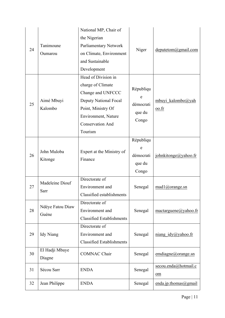| 24 | Tanimoune<br>Oumarou      | National MP, Chair of<br>the Nigerian<br>Parliamentary Network<br>on Climate, Environment<br>and Sustainable<br>Development                                               | Niger                                          | deputetom@gmail.com        |
|----|---------------------------|---------------------------------------------------------------------------------------------------------------------------------------------------------------------------|------------------------------------------------|----------------------------|
| 25 | Aimé Mbuyi<br>Kalombo     | Head of Division in<br>charge of Climate<br>Change and UNFCCC<br>Deputy National Focal<br>Point, Ministry Of<br>Environment, Nature<br><b>Conservation And</b><br>Tourism | Républiqu<br>e<br>démocrati<br>que du<br>Congo | mbuyi_kalombo@yah<br>00.fr |
| 26 | John Muloba<br>Kitonge    | Expert at the Ministry of<br>Finance                                                                                                                                      | Républiqu<br>e<br>démocrati<br>que du<br>Congo | johnkitonge@yahoo.fr       |
| 27 | Madeleine Diouf<br>Sarr   | Directorate of<br>Environment and<br>Classified establishments                                                                                                            | Senegal                                        | $mad1@orange$ .sn          |
| 28 | Ndéye Fatou Diaw<br>Guéne | Directorate of<br>Environment and<br><b>Classified Establishments</b>                                                                                                     | Senegal                                        | mactarguene@yahoo.fr       |
| 29 | <b>Idy Niang</b>          | Directorate of<br>Environment and<br><b>Classified Establishments</b>                                                                                                     | Senegal                                        | niang $idy(a)$ yahoo.fr    |
| 30 | El Hadji Mbaye<br>Diagne  | <b>COMNAC Chair</b>                                                                                                                                                       | Senegal                                        | emdiagne@orange.sn         |
| 31 | Sécou Sarr                | <b>ENDA</b>                                                                                                                                                               | Senegal                                        | secou.enda@hotmail.c<br>om |
| 32 | Jean Philippe             | <b>ENDA</b>                                                                                                                                                               | Senegal                                        | enda.jp.thomas@gmail       |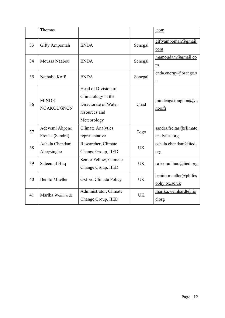|    | Thomas                             |                                                                                                   |           | .com                                    |
|----|------------------------------------|---------------------------------------------------------------------------------------------------|-----------|-----------------------------------------|
| 33 | <b>Gifty Ampomah</b>               | <b>ENDA</b>                                                                                       | Senegal   | giftyampomah@gmail.<br>com              |
| 34 | Moussa Naabou                      | <b>ENDA</b>                                                                                       | Senegal   | mamoudam@gmail.co<br>m                  |
| 35 | Nathalie Koffi                     | <b>ENDA</b>                                                                                       | Senegal   | enda.energy@orange.s<br>$\mathbf n$     |
| 36 | <b>MINDE</b><br><b>NGAKOUGNON</b>  | Head of Division of<br>Climatology in the<br>Directorate of Water<br>resources and<br>Meteorology | Chad      | mindengakougnon $\omega$ ya<br>hoo.fr   |
| 37 | Adeyemi Akpene<br>Freitas (Sandra) | <b>Climate Analytics</b><br>representative                                                        | Togo      | sandra.freitas@climate<br>analytics.org |
| 38 | Achala Chandani<br>Abeysinghe      | Researcher, Climate<br>Change Group, IIED                                                         | <b>UK</b> | achala.chandani@iied.<br>org            |
| 39 | Saleemul Huq                       | Senior Fellow, Climate<br>Change Group, IIED                                                      | <b>UK</b> | saleemul.huq@iied.org                   |
| 40 | <b>Benito Mueller</b>              | <b>Oxford Climate Policy</b>                                                                      | <b>UK</b> | benito.mueller@philos<br>ophy.ox.ac.uk  |
| 41 | Marika Weinhardt                   | Administrator, Climate<br>Change Group, IIED                                                      | <b>UK</b> | marika.weinhardt@iie<br>d.org           |